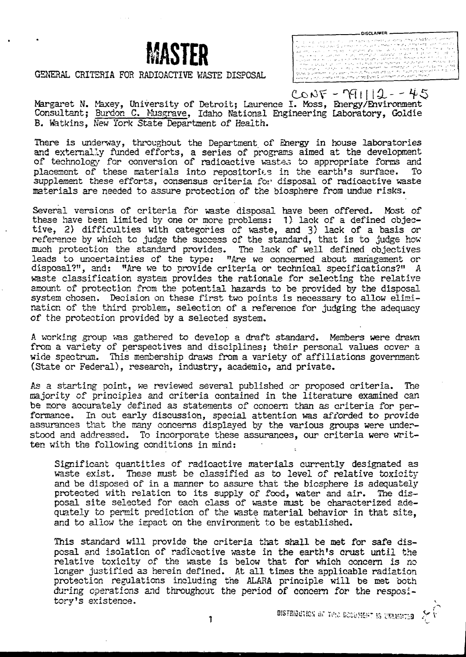## **MASTER**

## GENERAL CRITERIA FOR RADIOACTIVE WASTE DISPOSAL

**-DISCLAIMER .**

 $CONF - T91112 - 45$ Margaret N. Maxey, University of Detroit; Laurence I. Moss, Energy/Environment Consultant; Burdon C. Musgrave, Idaho National Engineering Laboratory, Goldie B. Watkins, New York State Department of Health.

There is underway, throughout the Department of Energy in house laboratories and externally funded efforts, a series of programs aimed at the development of technology for conversion of radioactive wastes to appropriate forms and<br>placement of these materials into repositories in the earth's surface. To placement of these materials into repositories in the earth's surface. supplement these efforts, consensus criteria for disposal of radioactive waste materials are needed to assure protection of the biosphere from undue risks.

Several versions of criteria for waste disposal have been offered. Most of these have been limited by one or more problems: 1) lack of a defined objective, 2) difficulties with categories of waste, and 3) lack of a basis or reference by which to judge the success of the standard, that is to judge how much protection the standard provides. The lack of well defined objectives leads to uncertainties of the type: "Are we concerned about management or disposal?", and: "Are we to provide criteria or technical specifications?" A waste classification system provides the rationale for selecting the relative amount of protection from the potential hazards to be provided by the disposal system chosen. Decision on these first two points is necessary to allow elimination of the third problem, selection of a reference for judging the adequacy of the protection provided by a selected system.

A working group was gathered to develop a draft standard. Members were drawn from a variety of perspectives and disciplines; their personal values cover a wide spectrum. This membership draws from a variety of affiliations government (State or Federal), research, industry, academic, and private.

As a starting point, we reviewed several published or proposed criteria. The majority of principles and criteria contained in the literature examined can be more accurately defined as statements of concern than as criteria for performance. In out early discussion, special attention was afforded to provide assurances that the many concerns displayed by the various groups were understood and addressed. To incorporate these assurances, our criteria were written with the following conditions in mind:

Significant quantities of radioactive materials currently designated as waste exist. These must be classified as to level of relative toxicity and be disposed of in a manner to assure that the biosphere is adequately protected with relation to its supply of food, water and air. The disposal site selected for each class of waste must be characterized adequately to permit prediction of the waste material behavior in that site, and to allow the impact on the environment to be established.

This standard will provide the criteria that shall be met for safe disposal and isolation of radioactive waste in the earth's crust until the relative toxicity of the waste is below that for which concern is no longer justified as herein defined. At all times the applicable radiation protection regulations including the ALAKA principle will be met both during operations and throughout the period of concern for the respository's existence.

 $\mathbf{1}$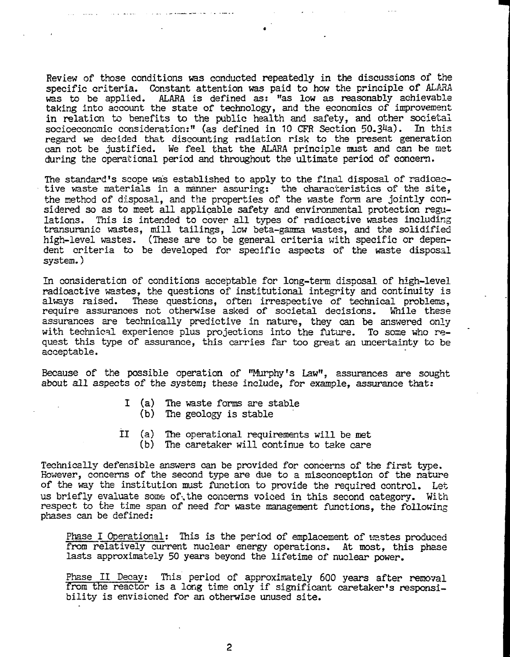Review of those conditions was conducted repeatedly in the discussions of the specific criteria. Constant attention was paid to how the principle of ALARA was to be applied. ALARA is defined as: "as low as reasonably achievable taking into account the state of technology, and the economics of improvement in relation to benefits to the public health and safety, and other societal socioeconomic consideration:" (as defined in 10 CFR Section 50.3<sup>4</sup>a). In this regard we decided that discounting radiation risk to the present generation can not be justified. We feel that the ALARA principle must and can be met during the operational period and throughout the ultimate period of concern.

The standard's scope was established to apply to the final disposal of radioactive vaste materials in a manner assuring: the characteristics of the site, the method of disposal, and the properties of the waste form are jointly considered so as to meet all applicable safety and environmental protection regulations. This is intended to cover all types of radioactive wastes including transuranic wastes, mill tailings, low beta-gamma wastes, and the solidified high-level wastes. (These are to be general criteria with specific or dependent criteria to be developed for specific aspects of the waste disposal system.)

In consideration of conditions acceptable for long-term disposal of high-level radioactive wastes, the questions of institutional integrity and continuity is always raised. These questions, often irrespective of technical problems, require assurances not otherwise asked of societal decisions. While these assurances are technically predictive in nature, they can be answered only with technical experience plus projections into the future. To some who request this type of assurance, this carries far too great an uncertainty to be acceptable.

Because of the possible operation of "Murphy's Law", assurances are sought about all aspects of the system; these include, for example, assurance that:

- I (a) The waste forms are stable
	- (b) The geology is stable
- II (a) The operational requirements will be met
	- (b) The caretaker will continue to take care

Technically defensible answers can be provided for concerns of the first type. However, concerns of the second type are due to a misconception of the nature of the way the institution must function to provide the required control. Let us briefly evaluate some of\the concerns voiced in this second category. With respect to the time span of need for waste management functions, the following phases can be defined:

Phase I Operational: This is the period of emplacement of wastes produced from relatively current nuclear energy operations. At most, this phase lasts approximately 50 years beyond the lifetime of nuclear power.

Phase II Decay: This period of approximately 600 years after removal from the reactor is a long time only if significant caretaker's responsibility is envisioned for an otherwise unused site.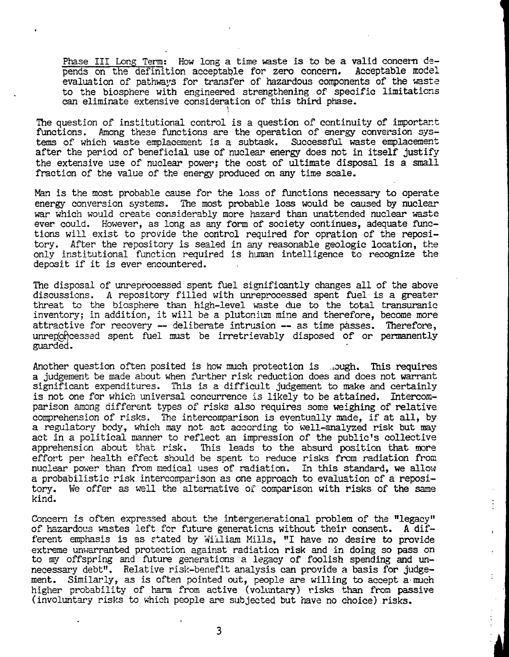Phase III Long Term: How long a time waste is to be a valid concern depends on the definition acceptable for zero concern. Acceptable model evaluation of pathways for transfer of hazardous components of the waste to the biosphere with engineered strengthening of specific limitations can eliminate extensive consideration of this third phase.

The question of institutional control is a question of continuity of important functions. Among these functions are the operation of energy conversion systems of which waste emplacement is a subtask. Successful waste emplacement after the period of beneficial use of nuclear energy does not in itself justify the extensive use of nuclear power; the cost of ultimate disposal is a small fraction of the value of the energy produced on any time scale.

Man is the most probable cause for the loss of functions necessary to operate energy conversion systems. The most probable loss would be caused by nuclear war which would create considerably more hazard than unattended nuclear waste ever could. However, as long as any form of society continues, adequate functions will exist to provide the control required for opration of the repository. After the repository is sealed in any reasonable geologic location, the only institutional function required is human intelligence to recognize the deposit if it is ever encountered.

The disposal of unreprocessed spent fuel significantly changes all of the above discussions. A repository filled with unreprocessed spent fuel is a greater threat to the biosphere than high-level waste due to the total transuranic inventory; in addition, it will be a plutonium mine and therefore, become more attractive for recovery — deliberate intrusion — as time passes. Therefore, unreporcessed spent fuel must be irretrievably disposed of or permanently guarded.

Another question often posited is how much protection is lough. This requires a judgement be made about when further risk reduction does and does not warrant significant expenditures. This is a difficult judgement to make and certainly is not one for which universal concurrence is likely to be attained. Intercomparison among different types of risks also requires some weighing of relative comprehension of risks. The intercomparison is eventually made, if at all, by a regulatory body, which may not act according to well-analyzed risk but may act in a political manner to reflect an impression of the public's collective apprehension about that risk. This leads to the absurd position that more effort per health effect should be spent to reduce risks from radiation from nuclear power than from medical uses of radiation. In this standard, we allow a probabilistic risk intercomparison as one approach to evaluation of a repository. We offer as well the alternative of comparison with risks of the same kind.

Concern is often expressed about the intergenerational problem of the "legacy" of hazardous wastes left for future generations without their consent. A different emphasis is as stated by William Mills, "I have no desire to provide extreme unwarranted protection against radiation risk and in doing so pass on to my offspring and future generations a legacy of foolish spending and unnecessary debt". Relative risk-benefit analysis can provide a basis for judgement. Similarly, as is often pointed out, people are willing to accept a-much higher probability of harm from active (voluntary) risks than from passive (involuntary risks to which people are subjected but have no choice) risks.

÷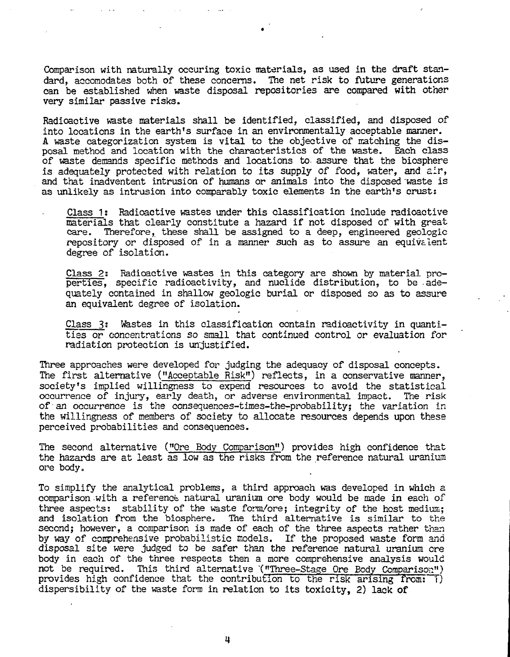Comparison with naturally occuring toxic materials, as used in the draft standard, accomodates both of these concerns. The net risk to future generations can be established when waste disposal repositories are compared with other very similar passive risks.

Radioactive waste materials shall be identified, classified, and disposed of into locations in the earth's surface in an environmentally acceptable manner. A waste categorization system is vital to the objective of matching the disposal method and location with the characteristics of the waste. Each class of waste demands specific methods and locations to. assure that the biosphere is adequately protected with relation to its supply of food, water, and air, and that inadventent intrusion of humans or animals into the disposed waste is as unlikely as intrusion into comparably toxic elements in the earth's crust:

Class 1; Radioactive wastes under this classification include radioactive materials that clearly constitute a hazard if not disposed of with great<br>care. Therefore, these shall be assigned to a deep, engineered geologic Therefore, these shall be assigned to a deep, engineered geologic repository or disposed of in a manner such as to assure an equivalent degree of isolation.

Class 2: Radioactive wastes in this category are shown by material properties, specific radioactivity, and nuclide distribution, to be adequately contained in shallow geologic burial or disposed so as to assure an equivalent degree of isolation.

Class 3? Wastes in this classification contain radioactivity in quantities or concentrations so small that continued control or evaluation for radiation protection is unjustified.

Three approaches were developed for judging the adequacy of disposal concepts. The first alternative ("Acceptable Risk") reflects, in a conservative manner, society's implied willingness to expend resources to avoid the statistical occurrence of injury, early death, or adverse environmental impact. The risk of an occurrence is the consequences-times-the-probabilityj the variation in the willingness of members of society to allocate resources depends upon these perceived probabilities and consequences.

The second alternative ("Ore Body Comparison") provides high confidence that the hazards are at least as low as the risks from the reference natural uranium ore body.

To simplify the analytical problems, a third approach was developed in which a comparison with a reference natural uranium ore body would be made in each of three aspects: stability of the waste form/ore; integrity of the host medium; and isolation from the biosphere. The third alternative is similar to the second; however, a comparison is made of each of the three aspects rather than by way of comprehensive probabilistic models. If the proposed waste form and disposal site were judged to be safer than the reference natural uranium ore body in each of the three respects then a more comprehensive analysis would not be required. This third alternative '("Three-Stage Ore Body Comparison") provides high confidence that the contribution to the risk arising from: 1) dispersibility of the waste form in relation to its toxicity, 2) lack of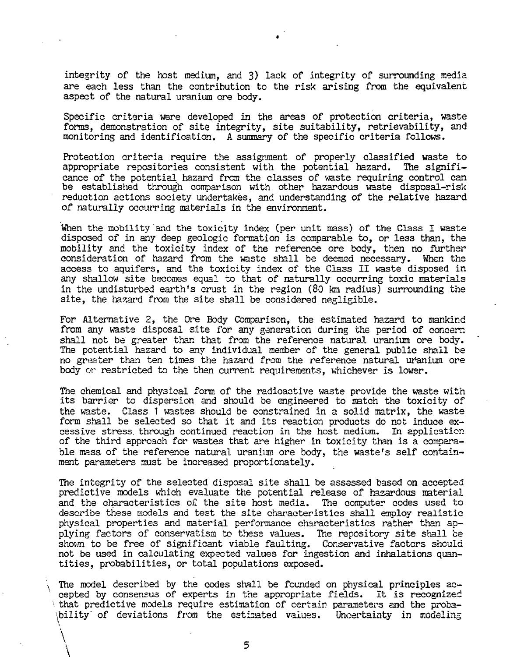integrity of the host medium, and 3) lack of integrity of surrounding media are each less than the contribution to the risk arising from the equivalent aspect of the natural uranium ore body.

Specific criteria were developed in the areas of protection criteria, waste forms, demonstration of site integrity, site suitability, retrievability, and monitoring and identification. A summary of the specific criteria follows.

Protection criteria require the assignment of properly classified waste to appropriate repositories consistent with the potential hazard. The significance of the potential hazard from the classes of waste requiring control can be established through comparison with other hazardous waste disposal-risk reduction actions society undertakes, and understanding of the relative hazard of naturally occurring materials in the environment.

When the mobility and the toxicity index (per unit mass) of the Class I waste disposed of in any deep geologic formation is comparable to, or less than, the mobility and the toxicity index of the reference ore body, then no further consideration of hazard from the waste shall be deemed necessary. When the access to aquifers, and the toxicity index of the Class II waste disposed in any shallow site becomes equal to that of naturally occurring toxic materials in the undisturbed earth's crust in the region (80 km radius) surrounding the site, the hazard from the site shall be considered negligible.

For Alternative 2, the Ore Body Comparison, the estimated hazard to mankind from any waste disposal site for any generation during the period of concern shall not be greater than that from the reference natural uranium ore body. The potential hazard to any individual member of the general public shall be no greater than ten times the hazard from the reference natural uranium ore body or restricted to the then current requirements, whichever is lower.

The chemical and physical form of the radioactive waste provide the waste with its barrier to dispersion and should be engineered to match the toxicity of the waste. Class 1 wastes should be constrained in a solid matrix, the waste form shall be selected so that it and its reaction products do not induce excessive stress, through continued reaction in the host medium. In application of the third approach for wastes that are higher in toxicity than is a comparable mass of the reference natural uranium ore body, the waste's self containment parameters must be increased proportionately.

The integrity of the selected disposal site shall be assessed based on accepted predictive models which evaluate the potential release of hazardous material and the characteristics o£ the site host media. The computer codes used to describe these models and test the site characteristics shall employ realistic physical properties and material performance characteristics rather than applying factors of conservatism to these values. The repository site shall be shown to be free of significant viable faulting. Conservative factors should not be used in calculating expected values for ingestion and inhalations quantities, probabilities, or total populations exposed.

The model described by the codes shall be founded on physical principles accepted by consensus of experts in the appropriate fields. It is recognized that predictive models require estimation of certain parameters and the probability' of deviations from the estimated values. Uncertainty in modeling